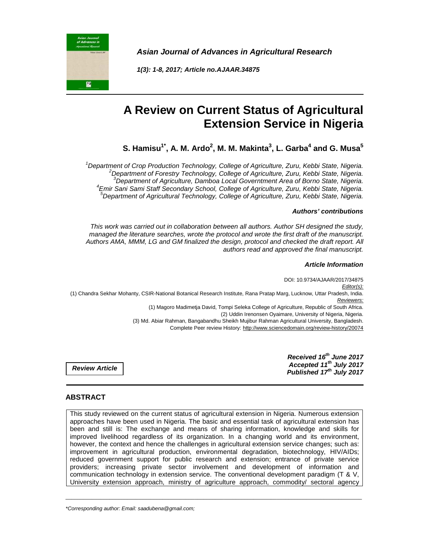**Asian Journal of Advances in Agricultural Research**

**1(3): 1-8, 2017; Article no.AJAAR.34875** 

# **A Review on Current Status of Agricultural Extension Service in Nigeria**

**S. Hamisu1\*, A. M. Ardo<sup>2</sup> , M. M. Makinta<sup>3</sup> , L. Garba<sup>4</sup> and G. Musa<sup>5</sup>**

<sup>1</sup>Department of Crop Production Technology, College of Agriculture, Zuru, Kebbi State, Nigeria. <sup>2</sup>Department of Forestry Technology, College of Agriculture, Zuru, Kebbi State, Nigeria. <sup>3</sup>Department of Agriculture, Damboa Local Governtment Area of Borno State, Nigeria. 4 Emir Sani Sami Staff Secondary School, College of Agriculture, Zuru, Kebbi State, Nigeria.  $5$ Department of Agricultural Technology, College of Agriculture, Zuru, Kebbi State, Nigeria.

## **Authors' contributions**

This work was carried out in collaboration between all authors. Author SH designed the study, managed the literature searches, wrote the protocol and wrote the first draft of the manuscript. Authors AMA, MMM, LG and GM finalized the design, protocol and checked the draft report. All authors read and approved the final manuscript.

#### **Article Information**

DOI: 10.9734/AJAAR/2017/34875 Editor(s): (1) Chandra Sekhar Mohanty, CSIR-National Botanical Research Institute, Rana Pratap Marg, Lucknow, Uttar Pradesh, India. Reviewers: (1) Magoro Madimetja David, Tompi Seleka College of Agriculture, Republic of South Africa. (2) Uddin Irenonsen Oyaimare, University of Nigeria, Nigeria. (3) Md. Abiar Rahman, Bangabandhu Sheikh Mujibur Rahman Agricultural University, Bangladesh. Complete Peer review History: http://www.sciencedomain.org/review-history/20074

> **Received 16th June 2017 Accepted 11th July 2017 Published 17th July 2017**

**Review Article** 

圖

# **ABSTRACT**

This study reviewed on the current status of agricultural extension in Nigeria. Numerous extension approaches have been used in Nigeria. The basic and essential task of agricultural extension has been and still is: The exchange and means of sharing information, knowledge and skills for improved livelihood regardless of its organization. In a changing world and its environment, however, the context and hence the challenges in agricultural extension service changes; such as: improvement in agricultural production, environmental degradation, biotechnology, HIV/AIDs; reduced government support for public research and extension; entrance of private service providers; increasing private sector involvement and development of information and communication technology in extension service. The conventional development paradigm (T & V, University extension approach, ministry of agriculture approach, commodity/ sectoral agency

\_\_\_\_\_\_\_\_\_\_\_\_\_\_\_\_\_\_\_\_\_\_\_\_\_\_\_\_\_\_\_\_\_\_\_\_\_\_\_\_\_\_\_\_\_\_\_\_\_\_\_\_\_\_\_\_\_\_\_\_\_\_\_\_\_\_\_\_\_\_\_\_\_\_\_\_\_\_\_\_\_\_\_\_\_\_\_\_\_\_\_\_\_\_\_\_\_\_\_\_\_

\*Corresponding author: Email: saadubena@gmail.com;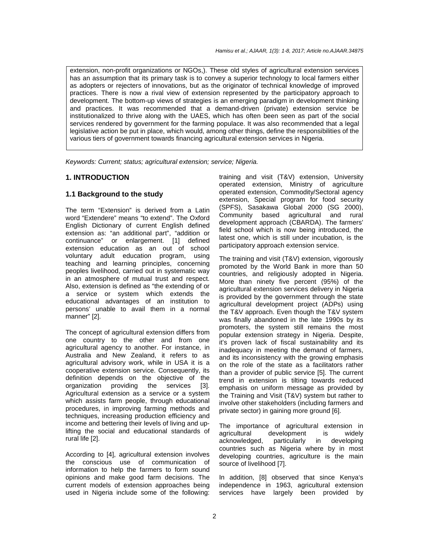extension, non-profit organizations or NGOs,). These old styles of agricultural extension services has an assumption that its primary task is to convey a superior technology to local farmers either as adopters or rejecters of innovations, but as the originator of technical knowledge of improved practices. There is now a rival view of extension represented by the participatory approach to development. The bottom-up views of strategies is an emerging paradigm in development thinking and practices. It was recommended that a demand-driven (private) extension service be institutionalized to thrive along with the UAES, which has often been seen as part of the social services rendered by government for the farming populace. It was also recommended that a legal legislative action be put in place, which would, among other things, define the responsibilities of the various tiers of government towards financing agricultural extension services in Nigeria.

Keywords: Current; status; agricultural extension; service; Nigeria.

## **1. INTRODUCTION**

## **1.1 Background to the study**

The term "Extension" is derived from a Latin word "Extendere" means "to extend". The Oxford English Dictionary of current English defined extension as: "an additional part", "addition or continuance" or enlargement. [1] defined extension education as an out of school voluntary adult education program, using teaching and learning principles, concerning peoples livelihood, carried out in systematic way in an atmosphere of mutual trust and respect. Also, extension is defined as "the extending of or a service or system which extends the educational advantages of an institution to persons' unable to avail them in a normal manner" [2].

The concept of agricultural extension differs from one country to the other and from one agricultural agency to another. For instance, in Australia and New Zealand, it refers to as agricultural advisory work, while in USA it is a cooperative extension service. Consequently, its definition depends on the objective of the<br>organization providing the services [3]. organization providing the services [3]. Agricultural extension as a service or a system which assists farm people, through educational procedures, in improving farming methods and techniques, increasing production efficiency and income and bettering their levels of living and uplifting the social and educational standards of rural life [2].

According to [4], agricultural extension involves the conscious use of communication of information to help the farmers to form sound opinions and make good farm decisions. The current models of extension approaches being used in Nigeria include some of the following: training and visit (T&V) extension, University operated extension, Ministry of agriculture operated extension, Commodity/Sectoral agency extension, Special program for food security (SPFS), Sasakawa Global 2000 (SG 2000), Community based agricultural and rural development approach (CBARDA). The farmers' field school which is now being introduced, the latest one, which is still under incubation, is the participatory approach extension service.

The training and visit (T&V) extension, vigorously promoted by the World Bank in more than 50 countries, and religiously adopted in Nigeria. More than ninety five percent (95%) of the agricultural extension services delivery in Nigeria is provided by the government through the state agricultural development project (ADPs) using the T&V approach. Even though the T&V system was finally abandoned in the late 1990s by its promoters, the system still remains the most popular extension strategy in Nigeria. Despite, it's proven lack of fiscal sustainability and its inadequacy in meeting the demand of farmers, and its inconsistency with the growing emphasis on the role of the state as a facilitators rather than a provider of public service [5]. The current trend in extension is tilting towards reduced emphasis on uniform message as provided by the Training and Visit (T&V) system but rather to involve other stakeholders (including farmers and private sector) in gaining more ground [6].

The importance of agricultural extension in agricultural development is widely<br>acknowledged, particularly in developing acknowledged, particularly in countries such as Nigeria where by in most developing countries, agriculture is the main source of livelihood [7].

In addition, [8] observed that since Kenya's independence in 1963, agricultural extension services have largely been provided by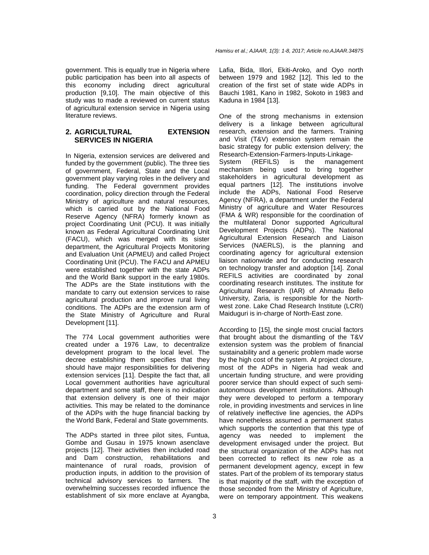government. This is equally true in Nigeria where public participation has been into all aspects of this economy including direct agricultural production [9,10]. The main objective of this study was to made a reviewed on current status of agricultural extension service in Nigeria using literature reviews.

# **2. AGRICULTURAL EXTENSION SERVICES IN NIGERIA**

In Nigeria, extension services are delivered and funded by the government (public). The three ties of government, Federal, State and the Local government play varying roles in the delivery and funding. The Federal government provides coordination, policy direction through the Federal Ministry of agriculture and natural resources, which is carried out by the National Food Reserve Agency (NFRA) formerly known as project Coordinating Unit (PCU). It was initially known as Federal Agricultural Coordinating Unit (FACU), which was merged with its sister department, the Agricultural Projects Monitoring and Evaluation Unit (APMEU) and called Project Coordinating Unit (PCU). The FACU and APMEU were established together with the state ADPs and the World Bank support in the early 1980s. The ADPs are the State institutions with the mandate to carry out extension services to raise agricultural production and improve rural living conditions. The ADPs are the extension arm of the State Ministry of Agriculture and Rural Development [11].

The 774 Local government authorities were created under a 1976 Law, to decentralize development program to the local level. The decree establishing them specifies that they should have major responsibilities for delivering extension services [11]. Despite the fact that, all Local government authorities have agricultural department and some staff, there is no indication that extension delivery is one of their major activities. This may be related to the dominance of the ADPs with the huge financial backing by the World Bank, Federal and State governments.

The ADPs started in three pilot sites, Funtua, Gombe and Gusau in 1975 known asenclave projects [12]. Their activities then included road and Dam construction, rehabilitations and maintenance of rural roads, provision of production inputs, in addition to the provision of technical advisory services to farmers. The overwhelming successes recorded influence the establishment of six more enclave at Ayangba, Lafia, Bida, Illori, Ekiti-Aroko, and Oyo north between 1979 and 1982 [12]. This led to the creation of the first set of state wide ADPs in Bauchi 1981, Kano in 1982, Sokoto in 1983 and Kaduna in 1984 [13].

One of the strong mechanisms in extension delivery is a linkage between agricultural research, extension and the farmers. Training and Visit (T&V) extension system remain the basic strategy for public extension delivery; the Research-Extension-Farmers-Inputs-Linkage-

System (REFILS) is the management mechanism being used to bring together stakeholders in agricultural development as equal partners [12]. The institutions involve include the ADPs, National Food Reserve Agency (NFRA), a department under the Federal Ministry of agriculture and Water Resources (FMA & WR) responsible for the coordination of the multilateral Donor supported Agricultural Development Projects (ADPs). The National Agricultural Extension Research and Liaison Services (NAERLS), is the planning and coordinating agency for agricultural extension liaison nationwide and for conducting research on technology transfer and adoption [14]. Zonal REFILS activities are coordinated by zonal coordinating research institutes. The institute for Agricultural Research (IAR) of Ahmadu Bello University, Zaria, is responsible for the Northwest zone. Lake Chad Research Institute (LCRI) Maiduguri is in-charge of North-East zone.

According to [15], the single most crucial factors that brought about the dismantling of the T&V extension system was the problem of financial sustainability and a generic problem made worse by the high cost of the system. At project closure, most of the ADPs in Nigeria had weak and uncertain funding structure, and were providing poorer service than should expect of such semiautonomous development institutions. Although they were developed to perform a temporary role, in providing investments and services in line of relatively ineffective line agencies, the ADPs have nonetheless assumed a permanent status which supports the contention that this type of agency was needed to implement the development envisaged under the project. But the structural organization of the ADPs has not been corrected to reflect its new role as a permanent development agency, except in few states. Part of the problem of its temporary status is that majority of the staff, with the exception of those seconded from the Ministry of Agriculture, were on temporary appointment. This weakens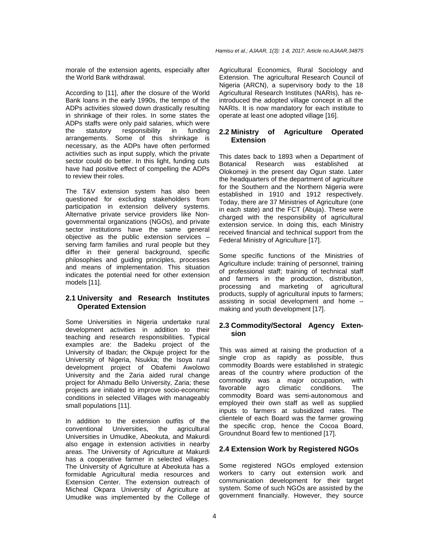morale of the extension agents, especially after the World Bank withdrawal.

According to [11], after the closure of the World Bank loans in the early 1990s, the tempo of the ADPs activities slowed down drastically resulting in shrinkage of their roles. In some states the ADPs staffs were only paid salaries, which were the statutory responsibility in funding arrangements. Some of this shrinkage is necessary, as the ADPs have often performed activities such as input supply, which the private sector could do better. In this light, funding cuts have had positive effect of compelling the ADPs to review their roles.

The T&V extension system has also been questioned for excluding stakeholders from participation in extension delivery systems. Alternative private service providers like Nongovernmental organizations (NGOs), and private sector institutions have the same general objective as the public extension services – serving farm families and rural people but they differ in their general background, specific philosophies and guiding principles, processes and means of implementation. This situation indicates the potential need for other extension models [11].

## **2.1 University and Research Institutes Operated Extension**

Some Universities in Nigeria undertake rural development activities in addition to their teaching and research responsibilities. Typical examples are: the Badeku project of the University of Ibadan; the Okpuje project for the University of Nigeria, Nsukka; the Isoya rural development project of Obafemi Awolowo University and the Zaria aided rural change project for Ahmadu Bello University, Zaria; these projects are initiated to improve socio-economic conditions in selected Villages with manageably small populations [11].

In addition to the extension outfits of the conventional Universities, the agricultural Universities in Umudike, Abeokuta, and Makurdi also engage in extension activities in nearby areas. The University of Agriculture at Makurdi has a cooperative farmer in selected villages. The University of Agriculture at Abeokuta has a formidable Agricultural media resources and Extension Center. The extension outreach of Micheal Okpara University of Agriculture at Umudike was implemented by the College of

Agricultural Economics, Rural Sociology and Extension. The agricultural Research Council of Nigeria (ARCN), a supervisory body to the 18 Agricultural Research Institutes (NARIs), has reintroduced the adopted village concept in all the NARIs. It is now mandatory for each institute to operate at least one adopted village [16].

# **2.2 Ministry of Agriculture Operated Extension**

This dates back to 1893 when a Department of Botanical Research was established at Olokomeji in the present day Ogun state. Later the headquarters of the department of agriculture for the Southern and the Northern Nigeria were established in 1910 and 1912 respectively. Today, there are 37 Ministries of Agriculture (one in each state) and the FCT (Abuja). These were charged with the responsibility of agricultural extension service. In doing this, each Ministry received financial and technical support from the Federal Ministry of Agriculture [17].

Some specific functions of the Ministries of Agriculture include: training of personnel, training of professional staff; training of technical staff and farmers in the production, distribution, processing and marketing of agricultural products, supply of agricultural inputs to farmers; assisting in social development and home – making and youth development [17].

# **2.3 Commodity/Sectoral Agency Extension**

This was aimed at raising the production of a single crop as rapidly as possible, thus commodity Boards were established in strategic areas of the country where production of the commodity was a major occupation, with favorable agro climatic conditions. The commodity Board was semi-autonomous and employed their own staff as well as supplied inputs to farmers at subsidized rates. The clientele of each Board was the farmer growing the specific crop, hence the Cocoa Board, Groundnut Board few to mentioned [17].

# **2.4 Extension Work by Registered NGOs**

Some registered NGOs employed extension workers to carry out extension work and communication development for their target system. Some of such NGOs are assisted by the government financially. However, they source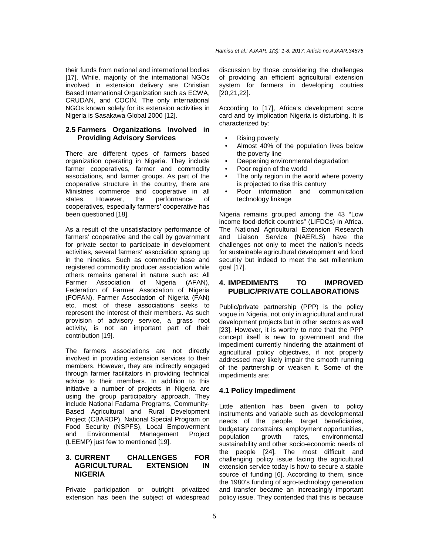their funds from national and international bodies [17]. While, majority of the international NGOs involved in extension delivery are Christian Based International Organization such as ECWA, CRUDAN, and COCIN. The only international NGOs known solely for its extension activities in Nigeria is Sasakawa Global 2000 [12].

## **2.5 Farmers Organizations Involved in Providing Advisory Services**

There are different types of farmers based organization operating in Nigeria. They include farmer cooperatives, farmer and commodity associations, and farmer groups. As part of the cooperative structure in the country, there are Ministries commerce and cooperative in all states. However, the performance of cooperatives, especially farmers' cooperative has been questioned [18].

As a result of the unsatisfactory performance of farmers' cooperative and the call by government for private sector to participate in development activities, several farmers' association sprang up in the nineties. Such as commodity base and registered commodity producer association while others remains general in nature such as: All Farmer Association of Nigeria (AFAN), Federation of Farmer Association of Nigeria (FOFAN), Farmer Association of Nigeria (FAN) etc, most of these associations seeks to represent the interest of their members. As such provision of advisory service, a grass root activity, is not an important part of their contribution [19].

The farmers associations are not directly involved in providing extension services to their members. However, they are indirectly engaged through farmer facilitators in providing technical advice to their members. In addition to this initiative a number of projects in Nigeria are using the group participatory approach. They include National Fadama Programs, Community-Based Agricultural and Rural Development Project (CBARDP), National Special Program on Food Security (NSPFS), Local Empowerment and Environmental Management Project (LEEMP) just few to mentioned [19].

# **3. CURRENT CHALLENGES FOR AGRICULTURAL EXTENSION IN NIGERIA**

Private participation or outright privatized extension has been the subject of widespread discussion by those considering the challenges of providing an efficient agricultural extension system for farmers in developing coutries [20,21,22].

According to [17], Africa's development score card and by implication Nigeria is disturbing. It is characterized by:

- Rising poverty
- Almost 40% of the population lives below the poverty line
- Deepening environmental degradation
- Poor region of the world
- The only region in the world where poverty is projected to rise this century
- Poor information and communication technology linkage

Nigeria remains grouped among the 43 "Low income food-deficit countries" (LIFDCs) in Africa. The National Agricultural Extension Research and Liaison Service (NAERLS) have the challenges not only to meet the nation's needs for sustainable agricultural development and food security but indeed to meet the set millennium goal [17].

# **4. IMPEDIMENTS TO IMPROVED PUBLIC/PRIVATE COLLABORATIONS**

Public/private partnership (PPP) is the policy vogue in Nigeria, not only in agricultural and rural development projects but in other sectors as well [23]. However, it is worthy to note that the PPP concept itself is new to government and the impediment currently hindering the attainment of agricultural policy objectives, if not properly addressed may likely impair the smooth running of the partnership or weaken it. Some of the impediments are:

# **4.1 Policy Impediment**

Little attention has been given to policy instruments and variable such as developmental needs of the people, target beneficiaries, budgetary constraints, employment opportunities, population growth rates, environmental sustainability and other socio-economic needs of the people [24]. The most difficult and challenging policy issue facing the agricultural extension service today is how to secure a stable source of funding [6]. According to them, since the 1980's funding of agro-technology generation and transfer became an increasingly important policy issue. They contended that this is because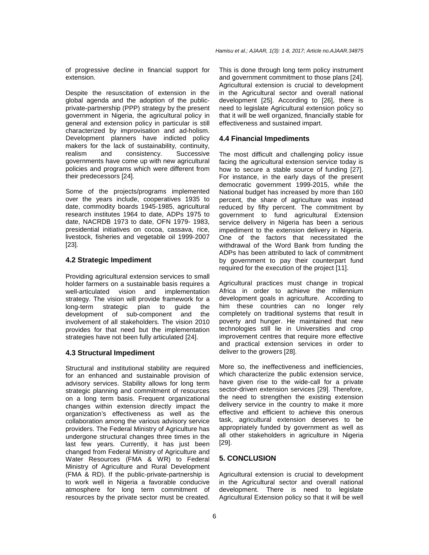of progressive decline in financial support for extension.

Despite the resuscitation of extension in the global agenda and the adoption of the publicprivate-partnership (PPP) strategy by the present government in Nigeria, the agricultural policy in general and extension policy in particular is still characterized by improvisation and ad-holism. Development planners have indicted policy makers for the lack of sustainability, continuity, realism and consistency. Successive governments have come up with new agricultural policies and programs which were different from their predecessors [24].

Some of the projects/programs implemented over the years include, cooperatives 1935 to date, commodity boards 1945-1985, agricultural research institutes 1964 to date, ADPs 1975 to date, NACRDB 1973 to date, OFN 1979- 1983, presidential initiatives on cocoa, cassava, rice, livestock, fisheries and vegetable oil 1999-2007 [23].

## **4.2 Strategic Impediment**

Providing agricultural extension services to small holder farmers on a sustainable basis requires a well-articulated vision and implementation strategy. The vision will provide framework for a long-term strategic plan to guide the development of sub-component and the involvement of all stakeholders. The vision 2010 provides for that need but the implementation strategies have not been fully articulated [24].

# **4.3 Structural Impediment**

Structural and institutional stability are required for an enhanced and sustainable provision of advisory services. Stability allows for long term strategic planning and commitment of resources on a long term basis. Frequent organizational changes within extension directly impact the organization's effectiveness as well as the collaboration among the various advisory service providers. The Federal Ministry of Agriculture has undergone structural changes three times in the last few years. Currently, it has just been changed from Federal Ministry of Agriculture and Water Resources (FMA & WR) to Federal Ministry of Agriculture and Rural Development (FMA & RD). If the public-private-partnership is to work well in Nigeria a favorable conducive atmosphere for long term commitment of resources by the private sector must be created.

This is done through long term policy instrument and government commitment to those plans [24]. Agricultural extension is crucial to development in the Agricultural sector and overall national development [25]. According to [26], there is need to legislate Agricultural extension policy so that it will be well organized, financially stable for effectiveness and sustained impart.

## **4.4 Financial Impediments**

The most difficult and challenging policy issue facing the agricultural extension service today is how to secure a stable source of funding [27]. For instance, in the early days of the present democratic government 1999-2015, while the National budget has increased by more than 160 percent, the share of agriculture was instead reduced by fifty percent. The commitment by government to fund agricultural Extension service delivery in Nigeria has been a serious impediment to the extension delivery in Nigeria. One of the factors that necessitated the withdrawal of the Word Bank from funding the ADPs has been attributed to lack of commitment by government to pay their counterpart fund required for the execution of the project [11].

Agricultural practices must change in tropical Africa in order to achieve the millennium development goals in agriculture. According to him these countries can no longer rely completely on traditional systems that result in poverty and hunger. He maintained that new technologies still lie in Universities and crop improvement centres that require more effective and practical extension services in order to deliver to the growers [28].

More so, the ineffectiveness and inefficiencies, which characterize the public extension service, have given rise to the wide-call for a private sector-driven extension services [29]. Therefore, the need to strengthen the existing extension delivery service in the country to make it more effective and efficient to achieve this onerous task, agricultural extension deserves to be appropriately funded by government as well as all other stakeholders in agriculture in Nigeria [29].

# **5. CONCLUSION**

Agricultural extension is crucial to development in the Agricultural sector and overall national development. There is need to legislate Agricultural Extension policy so that it will be well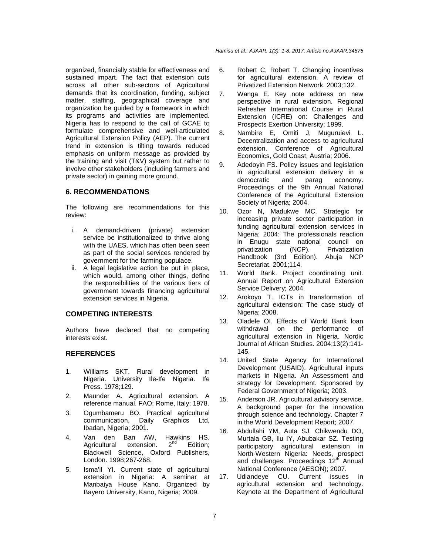organized, financially stable for effectiveness and sustained impart. The fact that extension cuts across all other sub-sectors of Agricultural demands that its coordination, funding, subject matter, staffing, geographical coverage and organization be guided by a framework in which its programs and activities are implemented. Nigeria has to respond to the call of GCAE to formulate comprehensive and well-articulated Agricultural Extension Policy (AEP). The current trend in extension is tilting towards reduced emphasis on uniform message as provided by the training and visit (T&V) system but rather to involve other stakeholders (including farmers and private sector) in gaining more ground.

## **6. RECOMMENDATIONS**

The following are recommendations for this review:

- i.A demand-driven (private) extension service be institutionalized to thrive along with the UAES, which has often been seen as part of the social services rendered by government for the farming populace.
- ii.A legal legislative action be put in place, which would, among other things, define the responsibilities of the various tiers of government towards financing agricultural extension services in Nigeria.

## **COMPETING INTERESTS**

Authors have declared that no competing interests exist.

## **REFERENCES**

- 1. Williams SKT. Rural development in Nigeria. University Ile-Ife Nigeria. Ife Press. 1978;129.
- 2. Maunder A. Agricultural extension. A reference manual. FAO; Rome, Italy; 1978.
- 3. Ogumbameru BO. Practical agricultural communication, Daily Graphics Ltd, Ibadan, Nigeria; 2001.
- 4. Van den Ban AW, Hawkins HS.<br>Agricultural extension. 2<sup>nd</sup> Edition: Agricultural extension.  $2^{nd}$  Edition; Blackwell Science, Oxford Publishers, London. 1998;267-268.
- 5. Isma'il YI. Current state of agricultural extension in Nigeria: A seminar at Manbaiya House Kano. Organized by Bayero University, Kano, Nigeria; 2009.
- 6. Robert C, Robert T. Changing incentives for agricultural extension. A review of Privatized Extension Network. 2003;132.
- 7. Wanga E. Key note address on new perspective in rural extension. Regional Refresher International Course in Rural Extension (ICRE) on: Challenges and Prospects Exertion University; 1999.
- 8. Nambire E, Omiti J, Muguruievi L. Decentralization and access to agricultural extension. Conference of Agricultural Economics, Gold Coast, Austria; 2006.
- 9. Adedoyin FS. Policy issues and legislation in agricultural extension delivery in a democratic and parag economy. Proceedings of the 9th Annual National Conference of the Agricultural Extension Society of Nigeria; 2004.
- 10. Ozor N, Madukwe MC. Strategic for increasing private sector participation in funding agricultural extension services in Nigeria; 2004: The professionals reaction in Enugu state national council on privatization (NCP). Privatization Handbook (3rd Edition). Abuja NCP Secretariat. 2001;114.
- 11. World Bank. Project coordinating unit. Annual Report on Agricultural Extension Service Delivery; 2004.
- 12. Arokoyo T. ICTs in transformation of agricultural extension: The case study of Nigeria; 2008.
- 13. Oladele OI. Effects of World Bank loan withdrawal on the performance of agricultural extension in Nigeria. Nordic Journal of African Studies. 2004;13(2):141- 145.
- 14. United State Agency for International Development (USAID). Agricultural inputs markets in Nigeria. An Assessment and strategy for Development. Sponsored by Federal Government of Nigeria; 2003.
- 15. Anderson JR. Agricultural advisory service. A background paper for the innovation through science and technology. Chapter 7 in the World Development Report; 2007.
- 16. Abdullahi YM, Auta SJ, Chikwendu DO, Murtala GB, Ilu IY, Abubakar SZ. Testing participatory agricultural extension in North-Western Nigeria: Needs, prospect and challenges. Proceedings 12<sup>th</sup> Annual National Conference (AESON); 2007.
- 17. Udiandeye CU. Current issues in agricultural extension and technology. Keynote at the Department of Agricultural